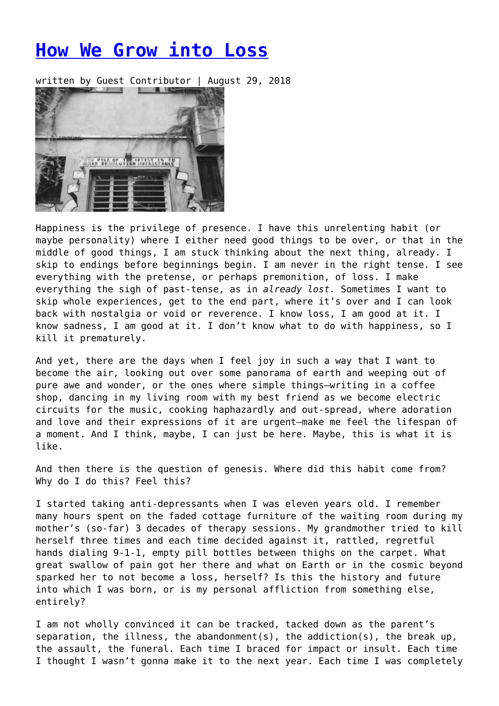## **[How We Grow into Loss](https://entropymag.org/how-we-grow-into-loss/)**

written by Guest Contributor | August 29, 2018



Happiness is the privilege of presence. I have this unrelenting habit (or maybe personality) where I either need good things to be over, or that in the middle of good things, I am stuck thinking about the next thing, already. I skip to endings before beginnings begin. I am never in the right tense. I see everything with the pretense, or perhaps premonition, of loss. I make everything the sigh of past-tense, as in *already lost.* Sometimes I want to skip whole experiences, get to the end part, where it's over and I can look back with nostalgia or void or reverence. I know loss, I am good at it. I know sadness, I am good at it. I don't know what to do with happiness, so I kill it prematurely.

And yet, there are the days when I feel joy in such a way that I want to become the air, looking out over some panorama of earth and weeping out of pure awe and wonder, or the ones where simple things—writing in a coffee shop, dancing in my living room with my best friend as we become electric circuits for the music, cooking haphazardly and out-spread, where adoration and love and their expressions of it are urgent—make me feel the lifespan of a moment. And I think, maybe, I can just be here. Maybe, this is what it is like.

And then there is the question of genesis. Where did this habit come from? Why do I do this? Feel this?

I started taking anti-depressants when I was eleven years old. I remember many hours spent on the faded cottage furniture of the waiting room during my mother's (so-far) 3 decades of therapy sessions. My grandmother tried to kill herself three times and each time decided against it, rattled, regretful hands dialing 9-1-1, empty pill bottles between thighs on the carpet. What great swallow of pain got her there and what on Earth or in the cosmic beyond sparked her to not become a loss, herself? Is this the history and future into which I was born, or is my personal affliction from something else, entirely?

I am not wholly convinced it can be tracked, tacked down as the parent's separation, the illness, the abandonment(s), the addiction(s), the break up, the assault, the funeral. Each time I braced for impact or insult. Each time I thought I wasn't gonna make it to the next year. Each time I was completely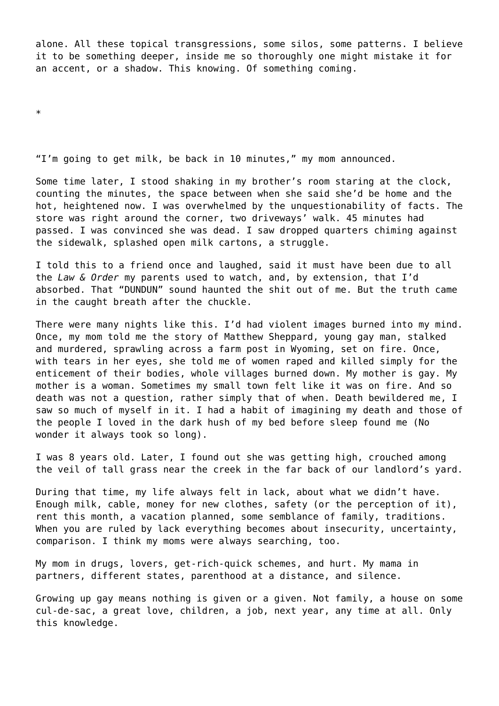alone. All these topical transgressions, some silos, some patterns. I believe it to be something deeper, inside me so thoroughly one might mistake it for an accent, or a shadow. This knowing. Of something coming.

\*

"I'm going to get milk, be back in 10 minutes," my mom announced.

Some time later, I stood shaking in my brother's room staring at the clock, counting the minutes, the space between when she said she'd be home and the hot, heightened now. I was overwhelmed by the unquestionability of facts. The store was right around the corner, two driveways' walk. 45 minutes had passed. I was convinced she was dead. I saw dropped quarters chiming against the sidewalk, splashed open milk cartons, a struggle.

I told this to a friend once and laughed, said it must have been due to all the *Law & Order* my parents used to watch, and, by extension, that I'd absorbed. That "DUNDUN" sound haunted the shit out of me. But the truth came in the caught breath after the chuckle.

There were many nights like this. I'd had violent images burned into my mind. Once, my mom told me the story of Matthew Sheppard, young gay man, stalked and murdered, sprawling across a farm post in Wyoming, set on fire. Once, with tears in her eyes, she told me of women raped and killed simply for the enticement of their bodies, whole villages burned down. My mother is gay. My mother is a woman. Sometimes my small town felt like it was on fire. And so death was not a question, rather simply that of when. Death bewildered me, I saw so much of myself in it. I had a habit of imagining my death and those of the people I loved in the dark hush of my bed before sleep found me (No wonder it always took so long).

I was 8 years old. Later, I found out she was getting high, crouched among the veil of tall grass near the creek in the far back of our landlord's yard.

During that time, my life always felt in lack, about what we didn't have. Enough milk, cable, money for new clothes, safety (or the perception of it), rent this month, a vacation planned, some semblance of family, traditions. When you are ruled by lack everything becomes about insecurity, uncertainty, comparison. I think my moms were always searching, too.

My mom in drugs, lovers, get-rich-quick schemes, and hurt. My mama in partners, different states, parenthood at a distance, and silence.

Growing up gay means nothing is given or a given. Not family, a house on some cul-de-sac, a great love, children, a job, next year, any time at all. Only this knowledge.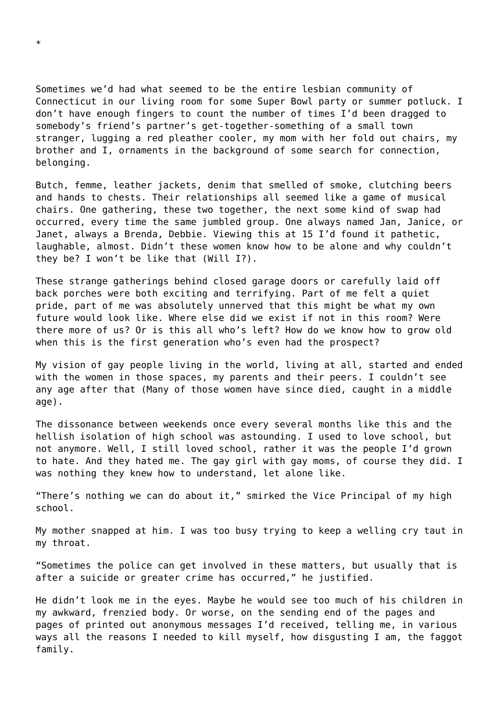Sometimes we'd had what seemed to be the entire lesbian community of Connecticut in our living room for some Super Bowl party or summer potluck. I don't have enough fingers to count the number of times I'd been dragged to somebody's friend's partner's get-together-something of a small town stranger, lugging a red pleather cooler, my mom with her fold out chairs, my brother and I, ornaments in the background of some search for connection, belonging.

Butch, femme, leather jackets, denim that smelled of smoke, clutching beers and hands to chests. Their relationships all seemed like a game of musical chairs. One gathering, these two together, the next some kind of swap had occurred, every time the same jumbled group. One always named Jan, Janice, or Janet, always a Brenda, Debbie. Viewing this at 15 I'd found it pathetic, laughable, almost. Didn't these women know how to be alone and why couldn't they be? I won't be like that (Will I?).

These strange gatherings behind closed garage doors or carefully laid off back porches were both exciting and terrifying. Part of me felt a quiet pride, part of me was absolutely unnerved that this might be what my own future would look like. Where else did we exist if not in this room? Were there more of us? Or is this all who's left? How do we know how to grow old when this is the first generation who's even had the prospect?

My vision of gay people living in the world, living at all, started and ended with the women in those spaces, my parents and their peers. I couldn't see any age after that (Many of those women have since died, caught in a middle age).

The dissonance between weekends once every several months like this and the hellish isolation of high school was astounding. I used to love school, but not anymore. Well, I still loved school, rather it was the people I'd grown to hate. And they hated me. The gay girl with gay moms, of course they did. I was nothing they knew how to understand, let alone like.

"There's nothing we can do about it," smirked the Vice Principal of my high school.

My mother snapped at him. I was too busy trying to keep a welling cry taut in my throat.

"Sometimes the police can get involved in these matters, but usually that is after a suicide or greater crime has occurred," he justified.

He didn't look me in the eyes. Maybe he would see too much of his children in my awkward, frenzied body. Or worse, on the sending end of the pages and pages of printed out anonymous messages I'd received, telling me, in various ways all the reasons I needed to kill myself, how disgusting I am, the faggot family.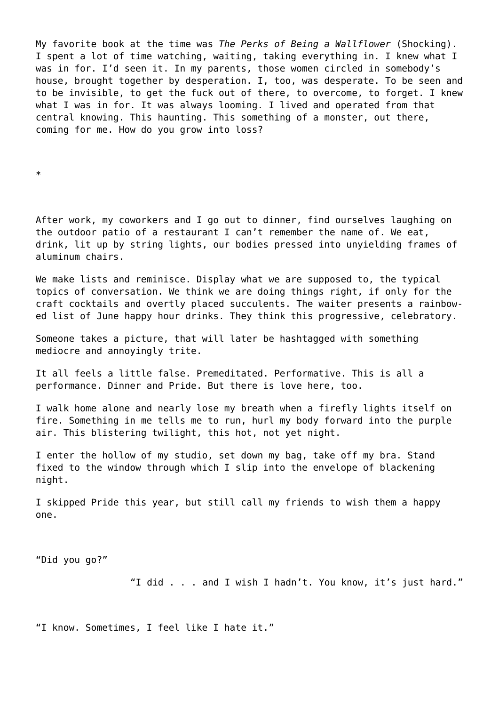My favorite book at the time was *The Perks of Being a Wallflower* (Shocking). I spent a lot of time watching, waiting, taking everything in. I knew what I was in for. I'd seen it. In my parents, those women circled in somebody's house, brought together by desperation. I, too, was desperate. To be seen and to be invisible, to get the fuck out of there, to overcome, to forget. I knew what I was in for. It was always looming. I lived and operated from that central knowing. This haunting. This something of a monster, out there, coming for me. How do you grow into loss?

\*

After work, my coworkers and I go out to dinner, find ourselves laughing on the outdoor patio of a restaurant I can't remember the name of. We eat, drink, lit up by string lights, our bodies pressed into unyielding frames of aluminum chairs.

We make lists and reminisce. Display what we are supposed to, the typical topics of conversation. We think we are doing things right, if only for the craft cocktails and overtly placed succulents. The waiter presents a rainbowed list of June happy hour drinks. They think this progressive, celebratory.

Someone takes a picture, that will later be hashtagged with something mediocre and annoyingly trite.

It all feels a little false. Premeditated. Performative. This is all a performance. Dinner and Pride. But there is love here, too.

I walk home alone and nearly lose my breath when a firefly lights itself on fire. Something in me tells me to run, hurl my body forward into the purple air. This blistering twilight, this hot, not yet night.

I enter the hollow of my studio, set down my bag, take off my bra. Stand fixed to the window through which I slip into the envelope of blackening night.

I skipped Pride this year, but still call my friends to wish them a happy one.

"Did you go?"

"I did . . . and I wish I hadn't. You know, it's just hard."

"I know. Sometimes, I feel like I hate it."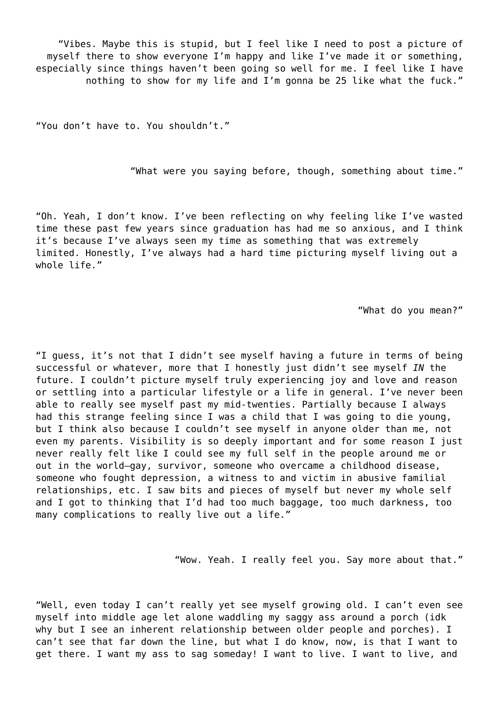"Vibes. Maybe this is stupid, but I feel like I need to post a picture of myself there to show everyone I'm happy and like I've made it or something, especially since things haven't been going so well for me. I feel like I have nothing to show for my life and I'm gonna be 25 like what the fuck."

"You don't have to. You shouldn't."

"What were you saying before, though, something about time."

"Oh. Yeah, I don't know. I've been reflecting on why feeling like I've wasted time these past few years since graduation has had me so anxious, and I think it's because I've always seen my time as something that was extremely limited. Honestly, I've always had a hard time picturing myself living out a whole life."

"What do you mean?"

"I guess, it's not that I didn't see myself having a future in terms of being successful or whatever, more that I honestly just didn't see myself *IN* the future. I couldn't picture myself truly experiencing joy and love and reason or settling into a particular lifestyle or a life in general. I've never been able to really see myself past my mid-twenties. Partially because I always had this strange feeling since I was a child that I was going to die young, but I think also because I couldn't see myself in anyone older than me, not even my parents. Visibility is so deeply important and for some reason I just never really felt like I could see my full self in the people around me or out in the world—gay, survivor, someone who overcame a childhood disease, someone who fought depression, a witness to and victim in abusive familial relationships, etc. I saw bits and pieces of myself but never my whole self and I got to thinking that I'd had too much baggage, too much darkness, too many complications to really live out a life."

"Wow. Yeah. I really feel you. Say more about that."

"Well, even today I can't really yet see myself growing old. I can't even see myself into middle age let alone waddling my saggy ass around a porch (idk why but I see an inherent relationship between older people and porches). I can't see that far down the line, but what I do know, now, is that I want to get there. I want my ass to sag someday! I want to live. I want to live, and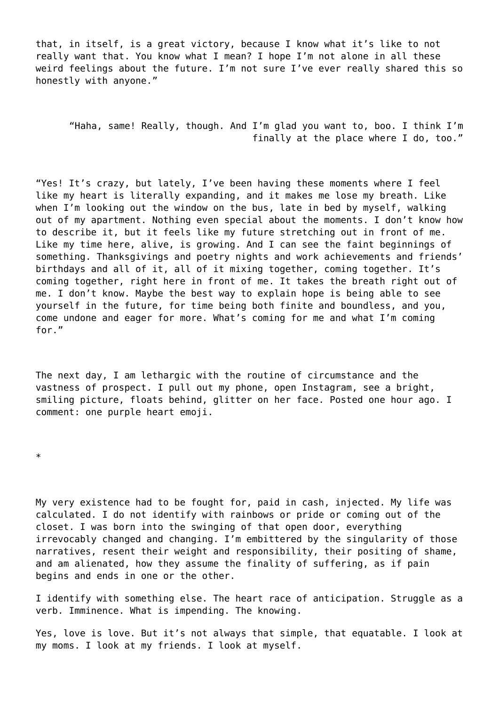that, in itself, is a great victory, because I know what it's like to not really want that. You know what I mean? I hope I'm not alone in all these weird feelings about the future. I'm not sure I've ever really shared this so honestly with anyone."

"Haha, same! Really, though. And I'm glad you want to, boo. I think I'm finally at the place where I do, too."

"Yes! It's crazy, but lately, I've been having these moments where I feel like my heart is literally expanding, and it makes me lose my breath. Like when I'm looking out the window on the bus, late in bed by myself, walking out of my apartment. Nothing even special about the moments. I don't know how to describe it, but it feels like my future stretching out in front of me. Like my time here, alive, is growing. And I can see the faint beginnings of something. Thanksgivings and poetry nights and work achievements and friends' birthdays and all of it, all of it mixing together, coming together. It's coming together, right here in front of me. It takes the breath right out of me. I don't know. Maybe the best way to explain hope is being able to see yourself in the future, for time being both finite and boundless, and you, come undone and eager for more. What's coming for me and what I'm coming for."

The next day, I am lethargic with the routine of circumstance and the vastness of prospect. I pull out my phone, open Instagram, see a bright, smiling picture, floats behind, glitter on her face. Posted one hour ago. I comment: one purple heart emoji.

\*

My very existence had to be fought for, paid in cash, injected. My life was calculated. I do not identify with rainbows or pride or coming out of the closet. I was born into the swinging of that open door, everything irrevocably changed and changing. I'm embittered by the singularity of those narratives, resent their weight and responsibility, their positing of shame, and am alienated, how they assume the finality of suffering, as if pain begins and ends in one or the other.

I identify with something else. The heart race of anticipation. Struggle as a verb. Imminence. What is impending. The knowing.

Yes, love is love. But it's not always that simple, that equatable. I look at my moms. I look at my friends. I look at myself.